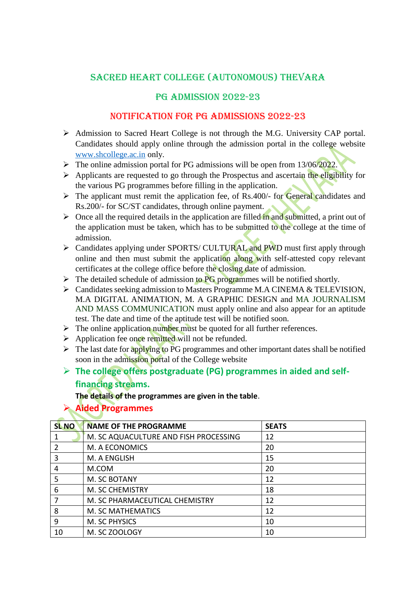# SACRED HEART COLLEGE (AUTONOMOUS) THEVARA

### PG ADMISSION 2022-23

#### NOTIFICATION FOR PG ADMISSIONS 2022-23

- Admission to Sacred Heart College is not through the M.G. University CAP portal. Candidates should apply online through the admission portal in the college website [www.shcollege.ac.in](http://www.shcollege.ac.in/) only.
- $\triangleright$  The online admission portal for PG admissions will be open from 13/06/2022.
- $\triangleright$  Applicants are requested to go through the Prospectus and ascertain the eligibility for the various PG programmes before filling in the application.
- $\triangleright$  The applicant must remit the application fee, of Rs.400/- for General candidates and Rs.200/- for SC/ST candidates, through online payment.
- $\triangleright$  Once all the required details in the application are filled in and submitted, a print out of the application must be taken, which has to be submitted to the college at the time of admission.
- $\triangleright$  Candidates applying under SPORTS/ CULTURAL and PWD must first apply through online and then must submit the application along with self-attested copy relevant certificates at the college office before the closing date of admission.
- $\triangleright$  The detailed schedule of admission to PG programmes will be notified shortly.
- Candidates seeking admission to Masters Programme M.A CINEMA & TELEVISION, M.A DIGITAL ANIMATION, M. A GRAPHIC DESIGN and [MA JOURNALISM](https://www.shcollege.ac.in/wp-content/uploads/syllabi/2020-21/2021_PG/MA-JMC-Syllabus-2021.pdf)  [AND MASS COMMUNICATION](https://www.shcollege.ac.in/wp-content/uploads/syllabi/2020-21/2021_PG/MA-JMC-Syllabus-2021.pdf) must apply online and also appear for an aptitude test. The date and time of the aptitude test will be notified soon.
- $\triangleright$  The online application number must be quoted for all further references.
- $\triangleright$  Application fee once remitted will not be refunded.
- $\triangleright$  The last date for applying to PG programmes and other important dates shall be notified soon in the admission portal of the College website
- **The college offers postgraduate (PG) programmes in aided and selffinancing streams.**

**The details of the programmes are given in the table**.

# **Aided Programmes**

| <b>SL NO</b>   | <b>NAME OF THE PROGRAMME</b>          | <b>SEATS</b> |
|----------------|---------------------------------------|--------------|
|                | M. SC AQUACULTURE AND FISH PROCESSING | 12           |
| $\overline{2}$ | M. A ECONOMICS                        | 20           |
| 3              | M. A ENGLISH                          | 15           |
| 4              | M.COM                                 | 20           |
| 5              | M. SC BOTANY                          | 12           |
| 6              | M. SC CHEMISTRY                       | 18           |
|                | M. SC PHARMACEUTICAL CHEMISTRY        | 12           |
| 8              | M. SC MATHEMATICS                     | 12           |
| 9              | M. SC PHYSICS                         | 10           |
| 10             | M. SC ZOOLOGY                         | 10           |